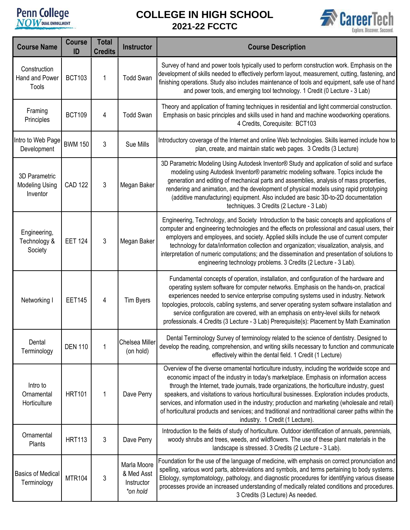## **Penn College**

## **COLLEGE IN HIGH SCHOOL 2021-22 FCCTC**



| <b>Course Name</b>                                 | <b>Course</b><br>ID | <b>Total</b><br><b>Credits</b> | <b>Instructor</b>                                   | <b>Course Description</b>                                                                                                                                                                                                                                                                                                                                                                                                                                                                                                                                                                                                         |
|----------------------------------------------------|---------------------|--------------------------------|-----------------------------------------------------|-----------------------------------------------------------------------------------------------------------------------------------------------------------------------------------------------------------------------------------------------------------------------------------------------------------------------------------------------------------------------------------------------------------------------------------------------------------------------------------------------------------------------------------------------------------------------------------------------------------------------------------|
| Construction<br>Hand and Power<br>Tools            | <b>BCT103</b>       | 1                              | <b>Todd Swan</b>                                    | Survey of hand and power tools typically used to perform construction work. Emphasis on the<br>development of skills needed to effectively perform layout, measurement, cutting, fastening, and<br>finishing operations. Study also includes maintenance of tools and equipment, safe use of hand<br>and power tools, and emerging tool technology. 1 Credit (0 Lecture - 3 Lab)                                                                                                                                                                                                                                                  |
| Framing<br>Principles                              | <b>BCT109</b>       | 4                              | <b>Todd Swan</b>                                    | Theory and application of framing techniques in residential and light commercial construction.<br>Emphasis on basic principles and skills used in hand and machine woodworking operations.<br>4 Credits, Corequisite: BCT103                                                                                                                                                                                                                                                                                                                                                                                                      |
| Intro to Web Page<br>Development                   | <b>BWM 150</b>      | 3                              | Sue Mills                                           | Introductory coverage of the Internet and online Web technologies. Skills learned include how to<br>plan, create, and maintain static web pages. 3 Credits (3 Lecture)                                                                                                                                                                                                                                                                                                                                                                                                                                                            |
| 3D Parametric<br><b>Modeling Using</b><br>Inventor | <b>CAD 122</b>      | 3                              | Megan Baker                                         | 3D Parametric Modeling Using Autodesk Inventor® Study and application of solid and surface<br>modeling using Autodesk Inventor® parametric modeling software. Topics include the<br>generation and editing of mechanical parts and assemblies, analysis of mass properties,<br>rendering and animation, and the development of physical models using rapid prototyping<br>(additive manufacturing) equipment. Also included are basic 3D-to-2D documentation<br>techniques. 3 Credits (2 Lecture - 3 Lab)                                                                                                                         |
| Engineering,<br>Technology &<br>Society            | <b>EET 124</b>      | 3                              | Megan Baker                                         | Engineering, Technology, and Society Introduction to the basic concepts and applications of<br>computer and engineering technologies and the effects on professional and casual users, their<br>employers and employees, and society. Applied skills include the use of current computer<br>technology for data/information collection and organization; visualization, analysis, and<br>interpretation of numeric computations; and the dissemination and presentation of solutions to<br>engineering technology problems. 3 Credits (2 Lecture - 3 Lab).                                                                        |
| Networking I                                       | <b>EET145</b>       | 4                              | <b>Tim Byers</b>                                    | Fundamental concepts of operation, installation, and configuration of the hardware and<br>operating system software for computer networks. Emphasis on the hands-on, practical<br>experiences needed to service enterprise computing systems used in industry. Network<br>topologies, protocols, cabling systems, and server operating system software installation and<br>service configuration are covered, with an emphasis on entry-level skills for network<br>professionals. 4 Credits (3 Lecture - 3 Lab) Prerequisite(s): Placement by Math Examination                                                                   |
| Dental<br>Terminology                              | <b>DEN 110</b>      | 1                              | Chelsea Miller<br>(on hold)                         | Dental Terminology Survey of terminology related to the science of dentistry. Designed to<br>develop the reading, comprehension, and writing skills necessary to function and communicate<br>effectively within the dental field. 1 Credit (1 Lecture)                                                                                                                                                                                                                                                                                                                                                                            |
| Intro to<br>Ornamental<br>Horticulture             | <b>HRT101</b>       | 1                              | Dave Perry                                          | Overview of the diverse ornamental horticulture industry, including the worldwide scope and<br>economic impact of the industry in today's marketplace. Emphasis on information access<br>through the Internet, trade journals, trade organizations, the horticulture industry, guest<br>speakers, and visitations to various horticultural businesses. Exploration includes products,<br>services, and information used in the industry; production and marketing (wholesale and retail)<br>of horticultural products and services; and traditional and nontraditional career paths within the<br>industry. 1 Credit (1 Lecture). |
| Ornamental<br>Plants                               | <b>HRT113</b>       | 3                              | Dave Perry                                          | Introduction to the fields of study of horticulture. Outdoor identification of annuals, perennials,<br>woody shrubs and trees, weeds, and wildflowers. The use of these plant materials in the<br>landscape is stressed. 3 Credits (2 Lecture - 3 Lab).                                                                                                                                                                                                                                                                                                                                                                           |
| <b>Basics of Medical</b><br>Terminology            | <b>MTR104</b>       | 3                              | Marla Moore<br>& Med Asst<br>Instructor<br>*on hold | Foundation for the use of the language of medicine, with emphasis on correct pronunciation and<br>spelling, various word parts, abbreviations and symbols, and terms pertaining to body systems.<br>Etiology, symptomatology, pathology, and diagnostic procedures for identifying various disease<br>processes provide an increased understanding of medically related conditions and procedures.<br>3 Credits (3 Lecture) As needed.                                                                                                                                                                                            |